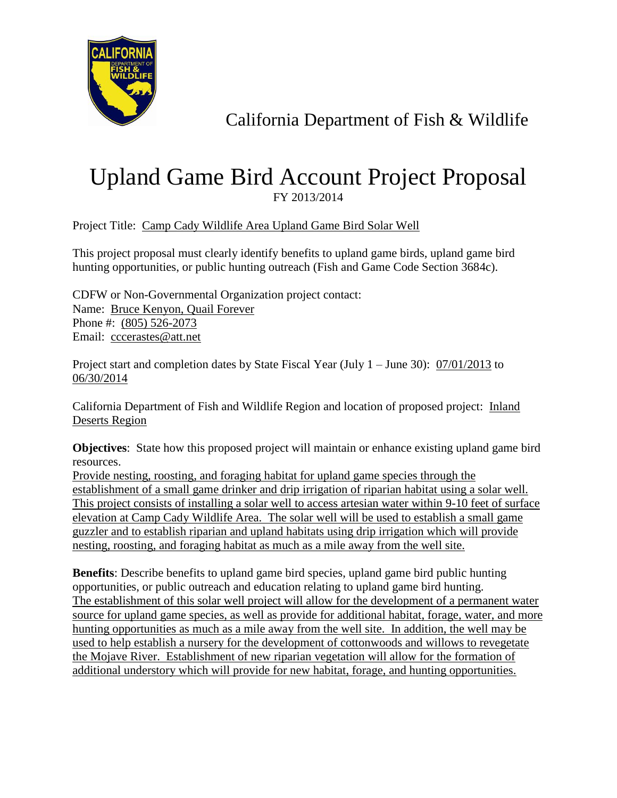

## California Department of Fish & Wildlife

## Upland Game Bird Account Project Proposal FY 2013/2014

Project Title: Camp Cady Wildlife Area Upland Game Bird Solar Well

This project proposal must clearly identify benefits to upland game birds, upland game bird hunting opportunities, or public hunting outreach (Fish and Game Code Section 3684c).

CDFW or Non-Governmental Organization project contact: Name: Bruce Kenyon, Quail Forever Phone #: (805) 526-2073 Email: cccerastes@att.net

Project start and completion dates by State Fiscal Year (July 1 – June 30):  $\frac{07}{01/2013}$  to 06/30/2014

California Department of Fish and Wildlife Region and location of proposed project: Inland Deserts Region

**Objectives**: State how this proposed project will maintain or enhance existing upland game bird resources.

Provide nesting, roosting, and foraging habitat for upland game species through the establishment of a small game drinker and drip irrigation of riparian habitat using a solar well. This project consists of installing a solar well to access artesian water within 9-10 feet of surface elevation at Camp Cady Wildlife Area. The solar well will be used to establish a small game guzzler and to establish riparian and upland habitats using drip irrigation which will provide nesting, roosting, and foraging habitat as much as a mile away from the well site.

**Benefits**: Describe benefits to upland game bird species, upland game bird public hunting opportunities, or public outreach and education relating to upland game bird hunting. The establishment of this solar well project will allow for the development of a permanent water source for upland game species, as well as provide for additional habitat, forage, water, and more hunting opportunities as much as a mile away from the well site. In addition, the well may be used to help establish a nursery for the development of cottonwoods and willows to revegetate the Mojave River. Establishment of new riparian vegetation will allow for the formation of additional understory which will provide for new habitat, forage, and hunting opportunities.